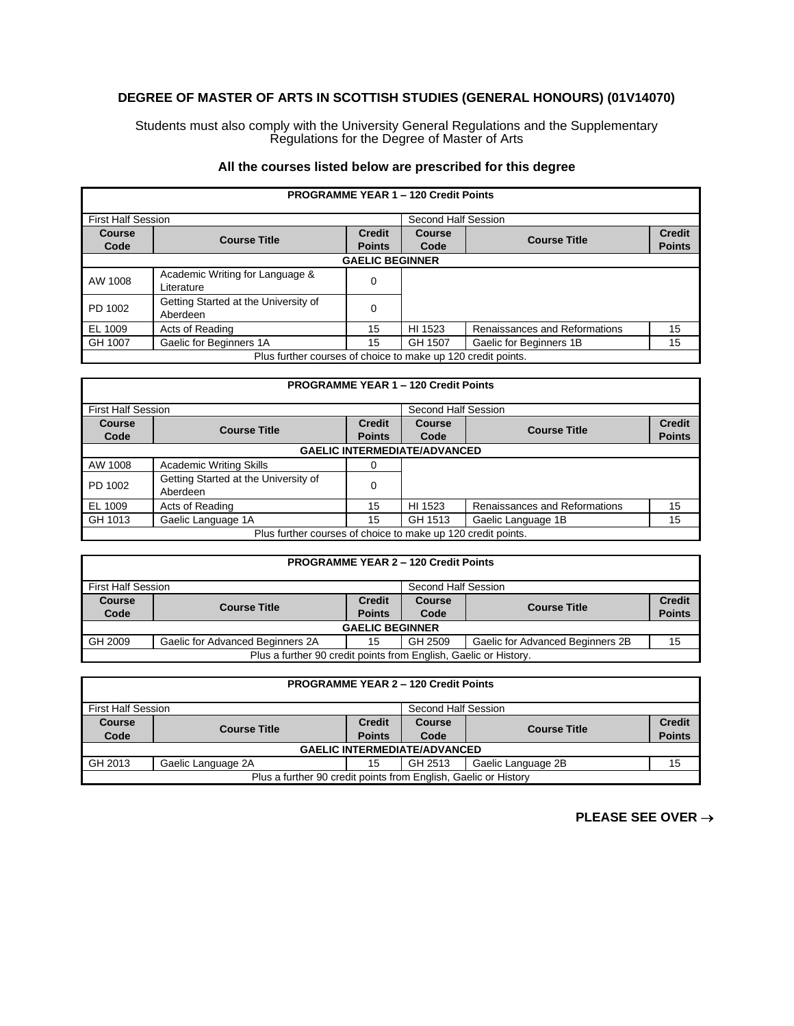## **DEGREE OF MASTER OF ARTS IN SCOTTISH STUDIES (GENERAL HONOURS) (01V14070)**

Students must also comply with the University General Regulations and the Supplementary Regulations for the Degree of Master of Arts

## **All the courses listed below are prescribed for this degree**

| <b>PROGRAMME YEAR 1 - 120 Credit Points</b>                  |                                                  |               |                     |                               |               |  |  |
|--------------------------------------------------------------|--------------------------------------------------|---------------|---------------------|-------------------------------|---------------|--|--|
| <b>First Half Session</b>                                    |                                                  |               | Second Half Session |                               |               |  |  |
| <b>Course</b>                                                | <b>Course Title</b>                              | <b>Credit</b> | <b>Course</b>       | <b>Course Title</b>           | <b>Credit</b> |  |  |
| Code                                                         |                                                  | <b>Points</b> | Code                |                               | <b>Points</b> |  |  |
| <b>GAELIC BEGINNER</b>                                       |                                                  |               |                     |                               |               |  |  |
| AW 1008                                                      | Academic Writing for Language &                  | 0             |                     |                               |               |  |  |
|                                                              | Literature                                       |               |                     |                               |               |  |  |
| PD 1002                                                      | Getting Started at the University of<br>Aberdeen | 0             |                     |                               |               |  |  |
| EL 1009                                                      | Acts of Reading                                  | 15            | HI 1523             | Renaissances and Reformations | 15            |  |  |
| GH 1007                                                      | Gaelic for Beginners 1A                          | 15            | GH 1507             | Gaelic for Beginners 1B       | 15            |  |  |
| Plus further courses of choice to make up 120 credit points. |                                                  |               |                     |                               |               |  |  |

| <b>PROGRAMME YEAR 1 - 120 Credit Points</b>                  |                                                  |                                |                       |                               |                                |  |  |
|--------------------------------------------------------------|--------------------------------------------------|--------------------------------|-----------------------|-------------------------------|--------------------------------|--|--|
| <b>First Half Session</b>                                    |                                                  | Second Half Session            |                       |                               |                                |  |  |
| Course<br>Code                                               | <b>Course Title</b>                              | <b>Credit</b><br><b>Points</b> | <b>Course</b><br>Code | <b>Course Title</b>           | <b>Credit</b><br><b>Points</b> |  |  |
| <b>GAELIC INTERMEDIATE/ADVANCED</b>                          |                                                  |                                |                       |                               |                                |  |  |
| AW 1008                                                      | <b>Academic Writing Skills</b>                   | 0                              |                       |                               |                                |  |  |
| PD 1002                                                      | Getting Started at the University of<br>Aberdeen | 0                              |                       |                               |                                |  |  |
| EL 1009                                                      | Acts of Reading                                  | 15                             | HI 1523               | Renaissances and Reformations | 15                             |  |  |
| GH 1013                                                      | Gaelic Language 1A                               | 15                             | GH 1513               | Gaelic Language 1B            | 15                             |  |  |
| Plus further courses of choice to make up 120 credit points. |                                                  |                                |                       |                               |                                |  |  |

| <b>PROGRAMME YEAR 2 - 120 Credit Points</b>                      |                                  |               |               |                                  |               |  |
|------------------------------------------------------------------|----------------------------------|---------------|---------------|----------------------------------|---------------|--|
| <b>First Half Session</b><br>Second Half Session                 |                                  |               |               |                                  |               |  |
| <b>Course</b>                                                    | <b>Course Title</b>              | <b>Credit</b> | <b>Course</b> | <b>Course Title</b>              | <b>Credit</b> |  |
| Code                                                             |                                  | <b>Points</b> | Code          |                                  | <b>Points</b> |  |
| <b>GAELIC BEGINNER</b>                                           |                                  |               |               |                                  |               |  |
| GH 2009                                                          | Gaelic for Advanced Beginners 2A | 15            | GH 2509       | Gaelic for Advanced Beginners 2B | 15            |  |
| Plus a further 90 credit points from English, Gaelic or History. |                                  |               |               |                                  |               |  |

| <b>PROGRAMME YEAR 2 - 120 Credit Points</b>                     |                     |               |         |                     |               |  |
|-----------------------------------------------------------------|---------------------|---------------|---------|---------------------|---------------|--|
| Second Half Session<br>First Half Session                       |                     |               |         |                     |               |  |
| <b>Course</b>                                                   | <b>Course Title</b> | <b>Credit</b> | Course  | <b>Course Title</b> | <b>Credit</b> |  |
| Code                                                            |                     | <b>Points</b> | Code    |                     | <b>Points</b> |  |
| <b>GAELIC INTERMEDIATE/ADVANCED</b>                             |                     |               |         |                     |               |  |
| GH 2013                                                         | Gaelic Language 2A  | 15            | GH 2513 | Gaelic Language 2B  | 15            |  |
| Plus a further 90 credit points from English, Gaelic or History |                     |               |         |                     |               |  |

**PLEASE SEE OVER** →